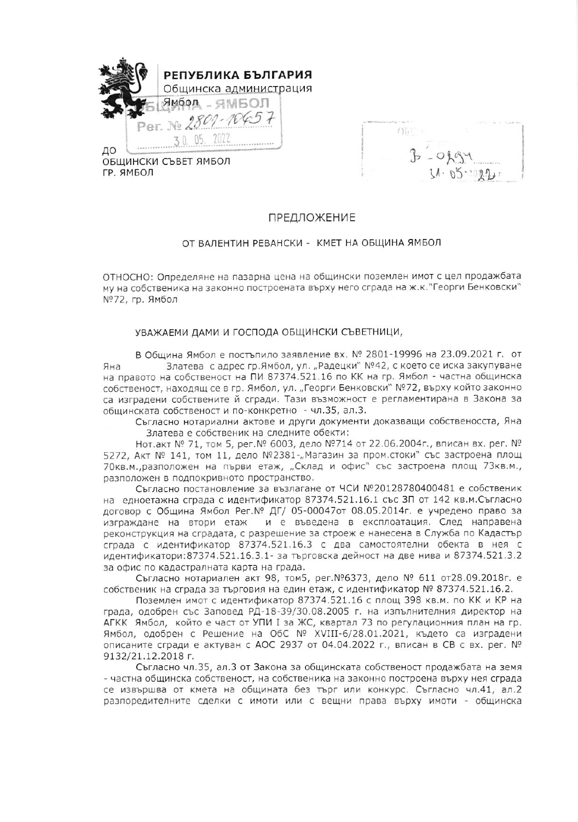

ОБЩИНСКИ СЪВЕТ ЯМБОЛ ГР. ЯМБОЛ

 $(f)$  ;  $\frac{1}{2}$  $209.9 +$ 

## ПРЕДЛОЖЕНИЕ

## ОТ ВАЛЕНТИН РЕВАНСКИ - КМЕТ НА ОБЩИНА ЯМБОЛ

ОТНОСНО: Определяне на пазарна цена на общински поземлен имот с цел продажбата му на собственика на законно построената върху него сграда на ж.к. "Георги Бенковски" №72, гр. Ямбол

## УВАЖАЕМИ ДАМИ И ГОСПОДА ОБЩИНСКИ СЪВЕТНИЦИ,

В Община Ямбол е постъпило заявление вх. № 2801-19996 на 23.09.2021 г. от Златева с адрес гр.Ямбол, ул. "Радецки" №42, с което се иска закупуване Яна на правото на собственост на ПИ 87374.521.16 по КК на гр. Ямбол - частна общинска собственост, находящ се в гр. Ямбол, ул. "Георги Бенковски" №72, върху който законно са изградени собствените й сгради. Тази възможност е регламентирана в Закона за общинската собственост и по-конкретно - чл.35, ал.3.

Съгласно нотариални актове и други документи доказващи собственосста, Яна Златева е собственик на следните обекти:

Нот.акт № 71, том 5, рег. № 6003, дело №714 от 22.06.2004г., вписан вх. рег. № 5272, Акт № 141, том 11, дело №2381-"Магазин за пром.стоки" със застроена площ 70кв.м., разположен на първи етаж, "Склад и офис" със застроена площ 73кв.м., разположен в подпокривното пространство.

Съгласно постановление за възлагане от ЧСИ №20128780400481 е собственик на едноетажна сграда с идентификатор 87374.521.16.1 със ЗП от 142 кв.м.Съгласно договор с Община Ямбол Рег. № ДГ/ 05-00047от 08.05.2014г. е учредено право за и е въведена в експлоатация. След направена изграждане на втори етаж реконструкция на сградата, с разрешение за строеж е нанесена в Служба по Кадастър сграда с идентификатор 87374.521.16.3 с два самостоятелни обекта в нея с идентификатори: 87374.521.16.3.1- за търговска дейност на две нива и 87374.521.3.2 за офис по кадастралната карта на града.

Съгласно нотариален акт 98, том5, рег. №6373, дело № 611 от28.09.2018г. е собственик на сграда за търговия на един етаж, с идентификатор № 87374.521.16.2.

Поземлен имот с идентификатор 87374.521.16 с площ 398 кв.м. по КК и КР на града, одобрен със Заповед РД-18-39/30.08.2005 г. на изпълнителния директор на АГКК Ямбол, който е част от УПИ I за ЖС, квартал 73 по регулационния план на гр. Ямбол, одобрен с Решение на ОбС № XVIII-6/28.01.2021, където са изградени описаните сгради е актуван с АОС 2937 от 04.04.2022 г., вписан в СВ с вх. рег. № 9132/21.12.2018 г.

Съгласно чл.35, ал.3 от Закона за общинската собственост продажбата на земя - частна общинска собственост, на собственика на законно построена върху нея сграда се извършва от кмета на общината без търг или конкурс. Съгласно чл.41, ал.2 разпоредителните сделки с имоти или с вещни права върху имоти - общинска